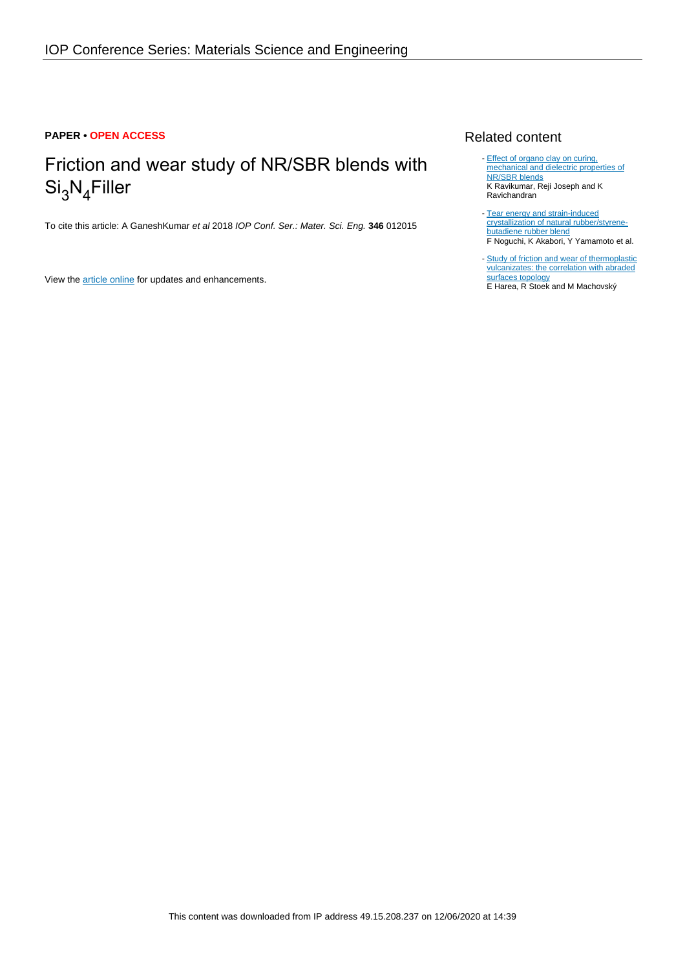# **PAPER • OPEN ACCESS**

# Friction and wear study of NR/SBR blends with  ${\rm Si_3N_4}$ Filler

To cite this article: A GaneshKumar et al 2018 IOP Conf. Ser.: Mater. Sci. Eng. **346** 012015

View the [article online](https://doi.org/10.1088/1757-899X/346/1/012015) for updates and enhancements.

# Related content

- [Effect of organo clay on curing,](http://iopscience.iop.org/article/10.1088/1742-6596/1000/1/012116) [mechanical and dielectric properties of](http://iopscience.iop.org/article/10.1088/1742-6596/1000/1/012116) [NR/SBR blends](http://iopscience.iop.org/article/10.1088/1742-6596/1000/1/012116) K Ravikumar, Reji Joseph and K Ravichandran -
- [Tear energy and strain-induced](http://iopscience.iop.org/article/10.1088/1742-6596/184/1/012020) [crystallization of natural rubber/styrene](http://iopscience.iop.org/article/10.1088/1742-6596/184/1/012020)[butadiene rubber blend](http://iopscience.iop.org/article/10.1088/1742-6596/184/1/012020) F Noguchi, K Akabori, Y Yamamoto et al.
- [Study of friction and wear of thermoplastic](http://iopscience.iop.org/article/10.1088/1742-6596/843/1/012070) [vulcanizates: the correlation with abraded](http://iopscience.iop.org/article/10.1088/1742-6596/843/1/012070) [surfaces topology](http://iopscience.iop.org/article/10.1088/1742-6596/843/1/012070) E Harea, R Stoek and M Machovský

This content was downloaded from IP address 49.15.208.237 on 12/06/2020 at 14:39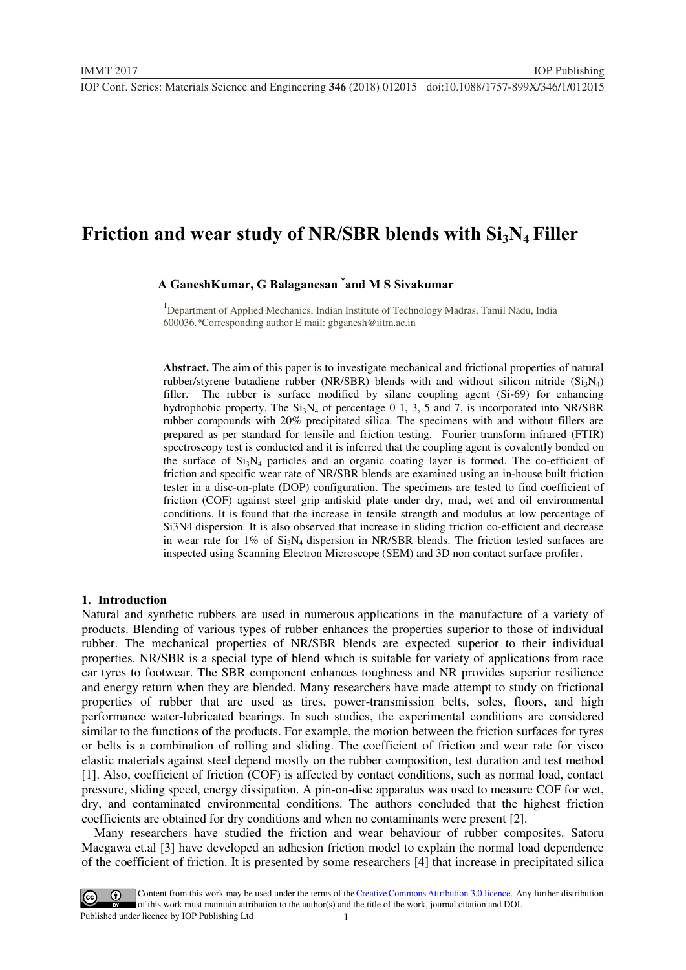# **Friction and wear study of NR/SBR blends with Si<sub>3</sub>N<sub>4</sub> Filler**

# **A GaneshKumar, G Balaganesan \* and M S Sivakumar**

1 Department of Applied Mechanics, Indian Institute of Technology Madras, Tamil Nadu, India 600036.\*Corresponding author E mail: gbganesh@iitm.ac.in

**Abstract.** The aim of this paper is to investigate mechanical and frictional properties of natural rubber/styrene butadiene rubber (NR/SBR) blends with and without silicon nitride  $(S_iN_4)$ filler. The rubber is surface modified by silane coupling agent (Si-69) for enhancing hydrophobic property. The  $Si<sub>3</sub>N<sub>4</sub>$  of percentage 0 1, 3, 5 and 7, is incorporated into NR/SBR rubber compounds with 20% precipitated silica. The specimens with and without fillers are prepared as per standard for tensile and friction testing. Fourier transform infrared (FTIR) spectroscopy test is conducted and it is inferred that the coupling agent is covalently bonded on the surface of  $Si<sub>3</sub>N<sub>4</sub>$  particles and an organic coating layer is formed. The co-efficient of friction and specific wear rate of NR/SBR blends are examined using an in-house built friction tester in a disc-on-plate (DOP) configuration. The specimens are tested to find coefficient of friction (COF) against steel grip antiskid plate under dry, mud, wet and oil environmental conditions. It is found that the increase in tensile strength and modulus at low percentage of Si3N4 dispersion. It is also observed that increase in sliding friction co-efficient and decrease in wear rate for  $1\%$  of  $Si_3N_4$  dispersion in NR/SBR blends. The friction tested surfaces are inspected using Scanning Electron Microscope (SEM) and 3D non contact surface profiler.

#### **1. Introduction**

Natural and synthetic rubbers are used in numerous applications in the manufacture of a variety of products. Blending of various types of rubber enhances the properties superior to those of individual rubber. The mechanical properties of NR/SBR blends are expected superior to their individual properties. NR/SBR is a special type of blend which is suitable for variety of applications from race car tyres to footwear. The SBR component enhances toughness and NR provides superior resilience and energy return when they are blended. Many researchers have made attempt to study on frictional properties of rubber that are used as tires, power-transmission belts, soles, floors, and high performance water-lubricated bearings. In such studies, the experimental conditions are considered similar to the functions of the products. For example, the motion between the friction surfaces for tyres or belts is a combination of rolling and sliding. The coefficient of friction and wear rate for visco elastic materials against steel depend mostly on the rubber composition, test duration and test method [1]. Also, coefficient of friction (COF) is affected by contact conditions, such as normal load, contact pressure, sliding speed, energy dissipation. A pin-on-disc apparatus was used to measure COF for wet, dry, and contaminated environmental conditions. The authors concluded that the highest friction coefficients are obtained for dry conditions and when no contaminants were present [2].

 Many researchers have studied the friction and wear behaviour of rubber composites. Satoru Maegawa et.al [3] have developed an adhesion friction model to explain the normal load dependence of the coefficient of friction. It is presented by some researchers [4] that increase in precipitated silica

1 Content from this work may be used under the terms of the [Creative Commons Attribution 3.0 licence.](http://creativecommons.org/licenses/by/3.0) Any further distribution of this work must maintain attribution to the author(s) and the title of the work, journal citation and DOI. Published under licence by IOP Publishing Ltd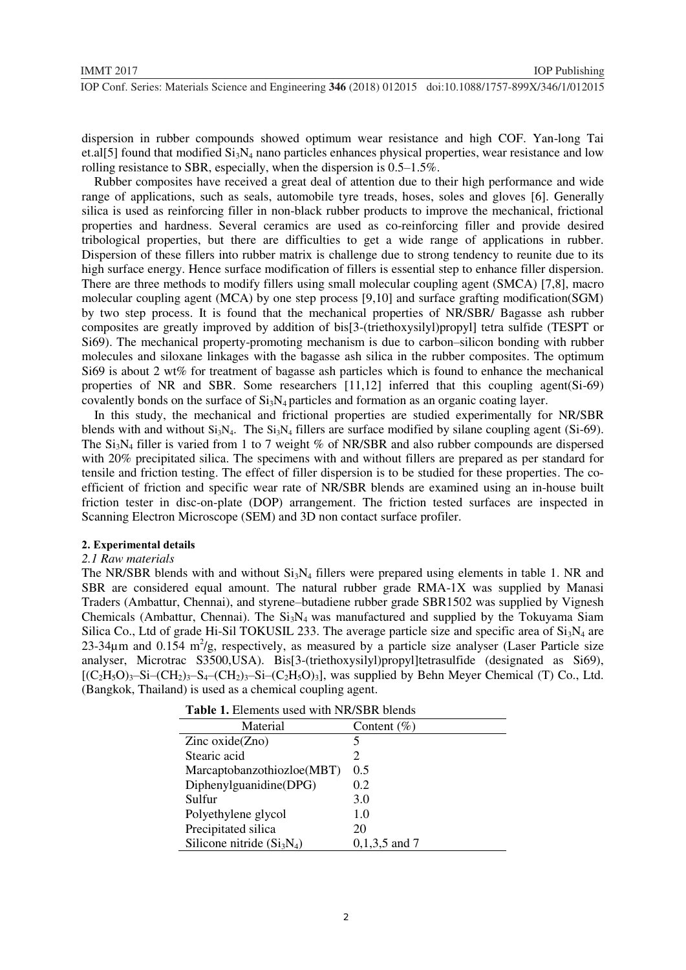dispersion in rubber compounds showed optimum wear resistance and high COF. Yan-long Tai et.al[5] found that modified  $Si<sub>3</sub>N<sub>4</sub>$  nano particles enhances physical properties, wear resistance and low rolling resistance to SBR, especially, when the dispersion is 0.5–1.5%.

 Rubber composites have received a great deal of attention due to their high performance and wide range of applications, such as seals, automobile tyre treads, hoses, soles and gloves [6]. Generally silica is used as reinforcing filler in non-black rubber products to improve the mechanical, frictional properties and hardness. Several ceramics are used as co-reinforcing filler and provide desired tribological properties, but there are difficulties to get a wide range of applications in rubber. Dispersion of these fillers into rubber matrix is challenge due to strong tendency to reunite due to its high surface energy. Hence surface modification of fillers is essential step to enhance filler dispersion. There are three methods to modify fillers using small molecular coupling agent (SMCA) [7,8], macro molecular coupling agent (MCA) by one step process [9,10] and surface grafting modification(SGM) by two step process. It is found that the mechanical properties of NR/SBR/ Bagasse ash rubber composites are greatly improved by addition of bis[3-(triethoxysilyl)propyl] tetra sulfide (TESPT or Si69). The mechanical property-promoting mechanism is due to carbon–silicon bonding with rubber molecules and siloxane linkages with the bagasse ash silica in the rubber composites. The optimum Si69 is about 2 wt% for treatment of bagasse ash particles which is found to enhance the mechanical properties of NR and SBR. Some researchers [11,12] inferred that this coupling agent(Si-69) covalently bonds on the surface of  $Si_3N_4$  particles and formation as an organic coating layer.

 In this study, the mechanical and frictional properties are studied experimentally for NR/SBR blends with and without  $Si_3N_4$ . The  $Si_3N_4$  fillers are surface modified by silane coupling agent (Si-69). The Si<sub>3</sub>N<sub>4</sub> filler is varied from 1 to 7 weight % of NR/SBR and also rubber compounds are dispersed with 20% precipitated silica. The specimens with and without fillers are prepared as per standard for tensile and friction testing. The effect of filler dispersion is to be studied for these properties. The coefficient of friction and specific wear rate of NR/SBR blends are examined using an in-house built friction tester in disc-on-plate (DOP) arrangement. The friction tested surfaces are inspected in Scanning Electron Microscope (SEM) and 3D non contact surface profiler.

#### **2. Experimental details**

#### *2.1 Raw materials*

The NR/SBR blends with and without  $Si<sub>3</sub>N<sub>4</sub>$  fillers were prepared using elements in table 1. NR and SBR are considered equal amount. The natural rubber grade RMA-1X was supplied by Manasi Traders (Ambattur, Chennai), and styrene–butadiene rubber grade SBR1502 was supplied by Vignesh Chemicals (Ambattur, Chennai). The  $Si<sub>3</sub>N<sub>4</sub>$  was manufactured and supplied by the Tokuyama Siam Silica Co., Ltd of grade Hi-Sil TOKUSIL 233. The average particle size and specific area of  $Si_3N_4$  are 23-34 $\mu$ m and 0.154 m<sup>2</sup>/g, respectively, as measured by a particle size analyser (Laser Particle size analyser, Microtrac S3500,USA). Bis[3-(triethoxysilyl)propyl]tetrasulfide (designated as Si69),  $[(C_2H_5O)_3-S_4-(CH_2)_3-S_4-(CH_2)_3-S_4-(CH_2)_3]$ , was supplied by Behn Meyer Chemical (T) Co., Ltd. (Bangkok, Thailand) is used as a chemical coupling agent.

| Material                   | Content $(\% )$ |
|----------------------------|-----------------|
| Zinc $oxide(Zno)$          | 5               |
| Stearic acid               | 2               |
| Marcaptobanzothiozloe(MBT) | 0.5             |
| Diphenylguanidine(DPG)     | 0.2             |
| Sulfur                     | 3.0             |
| Polyethylene glycol        | 1.0             |
| Precipitated silica        | 20              |
| Silicone nitride $(Si3N4)$ | $0,1,3,5$ and 7 |

**Table 1.** Elements used with NR/SBR blends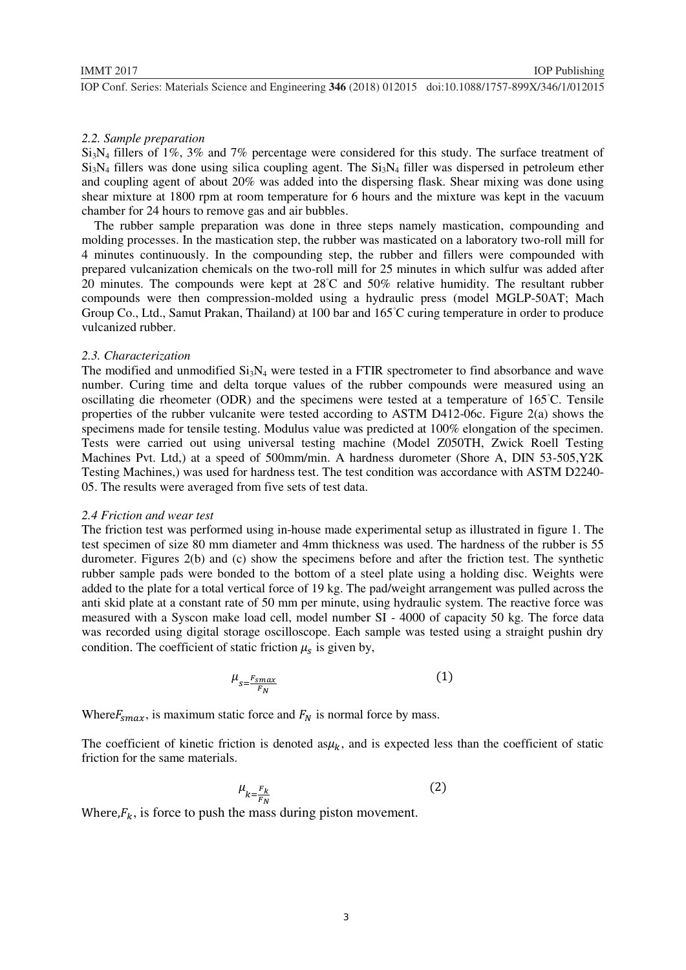# *2.2. Sample preparation*

Si3N4 fillers of 1%, 3% and 7% percentage were considered for this study. The surface treatment of  $Si<sub>3</sub>N<sub>4</sub>$  fillers was done using silica coupling agent. The  $Si<sub>3</sub>N<sub>4</sub>$  filler was dispersed in petroleum ether and coupling agent of about 20% was added into the dispersing flask. Shear mixing was done using shear mixture at 1800 rpm at room temperature for 6 hours and the mixture was kept in the vacuum chamber for 24 hours to remove gas and air bubbles.

 The rubber sample preparation was done in three steps namely mastication, compounding and molding processes. In the mastication step, the rubber was masticated on a laboratory two-roll mill for 4 minutes continuously. In the compounding step, the rubber and fillers were compounded with prepared vulcanization chemicals on the two-roll mill for 25 minutes in which sulfur was added after 20 minutes. The compounds were kept at 28◦ C and 50% relative humidity. The resultant rubber compounds were then compression-molded using a hydraulic press (model MGLP-50AT; Mach Group Co., Ltd., Samut Prakan, Thailand) at 100 bar and 165◦ C curing temperature in order to produce vulcanized rubber.

#### *2.3. Characterization*

The modified and unmodified  $Si<sub>3</sub>N<sub>4</sub>$  were tested in a FTIR spectrometer to find absorbance and wave number. Curing time and delta torque values of the rubber compounds were measured using an oscillating die rheometer (ODR) and the specimens were tested at a temperature of 165◦ C. Tensile properties of the rubber vulcanite were tested according to ASTM D412-06c. Figure 2(a) shows the specimens made for tensile testing. Modulus value was predicted at 100% elongation of the specimen. Tests were carried out using universal testing machine (Model Z050TH, Zwick Roell Testing Machines Pvt. Ltd,) at a speed of 500mm/min. A hardness durometer (Shore A, DIN 53-505,Y2K Testing Machines,) was used for hardness test. The test condition was accordance with ASTM D2240- 05. The results were averaged from five sets of test data.

#### *2.4 Friction and wear test*

The friction test was performed using in-house made experimental setup as illustrated in figure 1. The test specimen of size 80 mm diameter and 4mm thickness was used. The hardness of the rubber is 55 durometer. Figures 2(b) and (c) show the specimens before and after the friction test. The synthetic rubber sample pads were bonded to the bottom of a steel plate using a holding disc. Weights were added to the plate for a total vertical force of 19 kg. The pad/weight arrangement was pulled across the anti skid plate at a constant rate of 50 mm per minute, using hydraulic system. The reactive force was measured with a Syscon make load cell, model number SI - 4000 of capacity 50 kg. The force data was recorded using digital storage oscilloscope. Each sample was tested using a straight pushin dry condition. The coefficient of static friction  $\mu_s$  is given by,

$$
\mu_{s = \frac{F_{smax}}{F_N}} \tag{1}
$$

Where  $F_{\text{smax}}$ , is maximum static force and  $F_N$  is normal force by mass.

The coefficient of kinetic friction is denoted as $\mu_k$ , and is expected less than the coefficient of static friction for the same materials.

$$
\mu_{k=\frac{F_k}{F_N}}\tag{2}
$$

Where, $F_k$ , is force to push the mass during piston movement.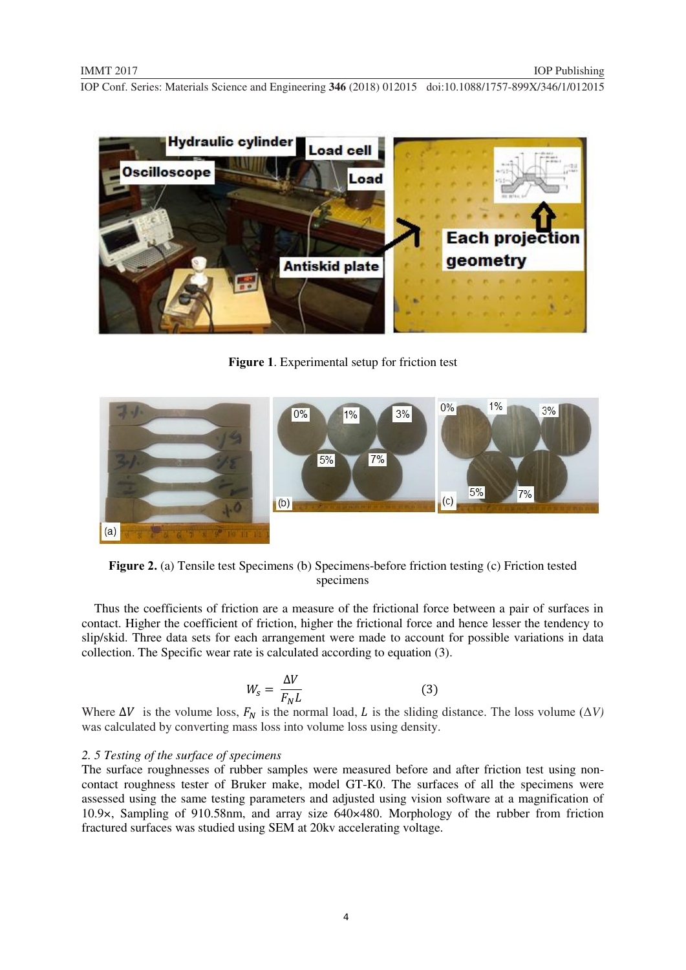

**Figure 1**. Experimental setup for friction test



**Figure 2.** (a) Tensile test Specimens (b) Specimens-before friction testing (c) Friction tested specimens

 Thus the coefficients of friction are a measure of the frictional force between a pair of surfaces in contact. Higher the coefficient of friction, higher the frictional force and hence lesser the tendency to slip/skid. Three data sets for each arrangement were made to account for possible variations in data collection. The Specific wear rate is calculated according to equation (3).

$$
W_s = \frac{\Delta V}{F_N L} \tag{3}
$$

Where  $\Delta V$  is the volume loss,  $F_N$  is the normal load, L is the sliding distance. The loss volume ( $\Delta V$ ) was calculated by converting mass loss into volume loss using density.

#### *2. 5 Testing of the surface of specimens*

The surface roughnesses of rubber samples were measured before and after friction test using noncontact roughness tester of Bruker make, model GT-K0. The surfaces of all the specimens were assessed using the same testing parameters and adjusted using vision software at a magnification of 10.9×, Sampling of 910.58nm, and array size 640×480. Morphology of the rubber from friction fractured surfaces was studied using SEM at 20kv accelerating voltage.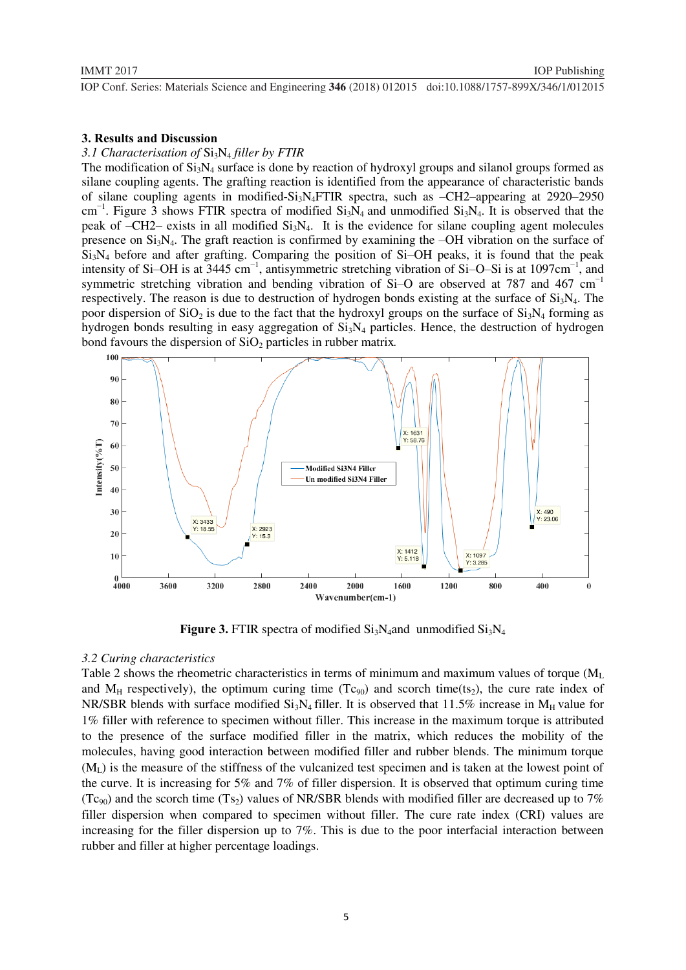# *3.1 Characterisation of* Si3N4 *filler by FTIR*

The modification of  $Si_3N_4$  surface is done by reaction of hydroxyl groups and silanol groups formed as silane coupling agents. The grafting reaction is identified from the appearance of characteristic bands of silane coupling agents in modified- $Si<sub>3</sub>N<sub>4</sub>FTIR$  spectra, such as  $-CH2$ –appearing at 2920–2950 cm<sup>-1</sup>. Figure 3 shows FTIR spectra of modified Si<sub>3</sub>N<sub>4</sub> and unmodified Si<sub>3</sub>N<sub>4</sub>. It is observed that the peak of  $-CH2$ – exists in all modified  $Si<sub>3</sub>N<sub>4</sub>$ . It is the evidence for silane coupling agent molecules presence on  $Si<sub>3</sub>N<sub>4</sub>$ . The graft reaction is confirmed by examining the –OH vibration on the surface of  $Si<sub>3</sub>N<sub>4</sub>$  before and after grafting. Comparing the position of Si–OH peaks, it is found that the peak intensity of Si–OH is at 3445 cm<sup>-1</sup>, antisymmetric stretching vibration of Si–O–Si is at 1097cm<sup>-1</sup>, and symmetric stretching vibration and bending vibration of Si–O are observed at 787 and 467 cm<sup>-1</sup> respectively. The reason is due to destruction of hydrogen bonds existing at the surface of  $Si<sub>3</sub>N<sub>4</sub>$ . The poor dispersion of  $SiO_2$  is due to the fact that the hydroxyl groups on the surface of  $Si<sub>3</sub>N<sub>4</sub>$  forming as hydrogen bonds resulting in easy aggregation of  $Si<sub>3</sub>N<sub>4</sub>$  particles. Hence, the destruction of hydrogen bond favours the dispersion of  $SiO<sub>2</sub>$  particles in rubber matrix.



**Figure 3.** FTIR spectra of modified  $Si_3N_4$  and unmodified  $Si_3N_4$ 

#### *3.2 Curing characteristics*

Table 2 shows the rheometric characteristics in terms of minimum and maximum values of torque  $(M_L)$ and  $M_H$  respectively), the optimum curing time (Tc<sub>90</sub>) and scorch time(ts<sub>2</sub>), the cure rate index of NR/SBR blends with surface modified  $Si<sub>3</sub>N<sub>4</sub>$  filler. It is observed that 11.5% increase in  $M_H$  value for 1% filler with reference to specimen without filler. This increase in the maximum torque is attributed to the presence of the surface modified filler in the matrix, which reduces the mobility of the molecules, having good interaction between modified filler and rubber blends. The minimum torque  $(M<sub>L</sub>)$  is the measure of the stiffness of the vulcanized test specimen and is taken at the lowest point of the curve. It is increasing for 5% and 7% of filler dispersion. It is observed that optimum curing time (Tc<sub>90</sub>) and the scorch time (Ts<sub>2</sub>) values of NR/SBR blends with modified filler are decreased up to 7% filler dispersion when compared to specimen without filler. The cure rate index (CRI) values are increasing for the filler dispersion up to 7%. This is due to the poor interfacial interaction between rubber and filler at higher percentage loadings.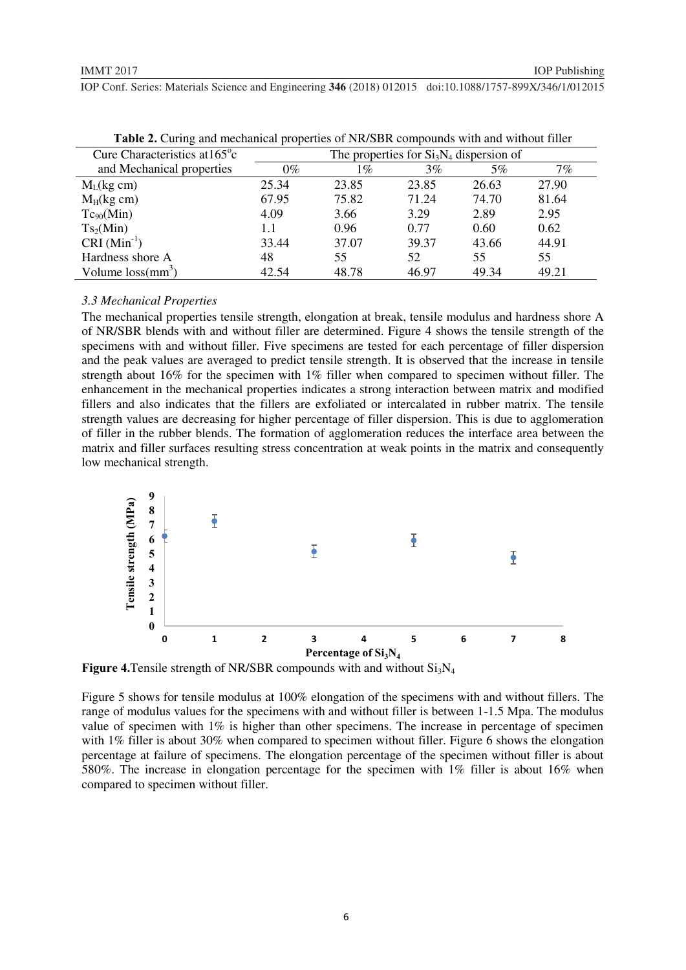|                                         |                                          |       | $\sim$ |       |       |  |
|-----------------------------------------|------------------------------------------|-------|--------|-------|-------|--|
| Cure Characteristics at $165^{\circ}$ c | The properties for $Si3N4$ dispersion of |       |        |       |       |  |
| and Mechanical properties               | $0\%$                                    | 1%    | 3%     | 5%    | 7%    |  |
| $M_L$ (kg cm)                           | 25.34                                    | 23.85 | 23.85  | 26.63 | 27.90 |  |
| $M_H$ (kg cm)                           | 67.95                                    | 75.82 | 71.24  | 74.70 | 81.64 |  |
| $Tc_{90}(Min)$                          | 4.09                                     | 3.66  | 3.29   | 2.89  | 2.95  |  |
| Ts <sub>2</sub> (Min)                   | 1.1                                      | 0.96  | 0.77   | 0.60  | 0.62  |  |
| $CRI (Min-1)$                           | 33.44                                    | 37.07 | 39.37  | 43.66 | 44.91 |  |
| Hardness shore A                        | 48                                       | 55    | 52     | 55    | 55    |  |
| Volume $loss(mm^3)$                     | 42.54                                    | 48.78 | 46.97  | 49.34 | 49.21 |  |

**Table 2.** Curing and mechanical properties of NR/SBR compounds with and without filler

# *3.3 Mechanical Properties*

The mechanical properties tensile strength, elongation at break, tensile modulus and hardness shore A of NR/SBR blends with and without filler are determined. Figure 4 shows the tensile strength of the specimens with and without filler. Five specimens are tested for each percentage of filler dispersion and the peak values are averaged to predict tensile strength. It is observed that the increase in tensile strength about 16% for the specimen with 1% filler when compared to specimen without filler. The enhancement in the mechanical properties indicates a strong interaction between matrix and modified fillers and also indicates that the fillers are exfoliated or intercalated in rubber matrix. The tensile strength values are decreasing for higher percentage of filler dispersion. This is due to agglomeration of filler in the rubber blends. The formation of agglomeration reduces the interface area between the matrix and filler surfaces resulting stress concentration at weak points in the matrix and consequently low mechanical strength.



**Figure 4.** Tensile strength of NR/SBR compounds with and without  $Si<sub>3</sub>N<sub>4</sub>$ 

Figure 5 shows for tensile modulus at 100% elongation of the specimens with and without fillers. The range of modulus values for the specimens with and without filler is between 1-1.5 Mpa. The modulus value of specimen with 1% is higher than other specimens. The increase in percentage of specimen with 1% filler is about 30% when compared to specimen without filler. Figure 6 shows the elongation percentage at failure of specimens. The elongation percentage of the specimen without filler is about 580%. The increase in elongation percentage for the specimen with 1% filler is about 16% when compared to specimen without filler.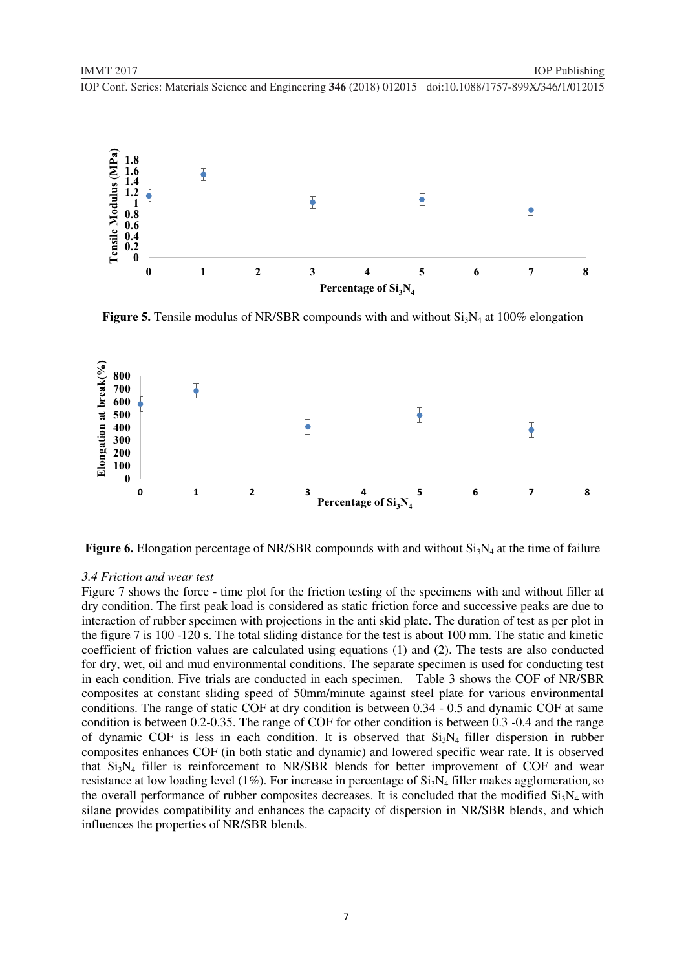

**Figure 5.** Tensile modulus of NR/SBR compounds with and without  $Si<sub>3</sub>N<sub>4</sub>$  at 100% elongation



**Figure 6.** Elongation percentage of NR/SBR compounds with and without  $Si<sub>3</sub>N<sub>4</sub>$  at the time of failure

### *3.4 Friction and wear test*

Figure 7 shows the force - time plot for the friction testing of the specimens with and without filler at dry condition. The first peak load is considered as static friction force and successive peaks are due to interaction of rubber specimen with projections in the anti skid plate. The duration of test as per plot in the figure 7 is 100 -120 s. The total sliding distance for the test is about 100 mm. The static and kinetic coefficient of friction values are calculated using equations (1) and (2). The tests are also conducted for dry, wet, oil and mud environmental conditions. The separate specimen is used for conducting test in each condition. Five trials are conducted in each specimen. Table 3 shows the COF of NR/SBR composites at constant sliding speed of 50mm/minute against steel plate for various environmental conditions. The range of static COF at dry condition is between 0.34 - 0.5 and dynamic COF at same condition is between 0.2-0.35. The range of COF for other condition is between 0.3 -0.4 and the range of dynamic COF is less in each condition. It is observed that  $Si<sub>3</sub>N<sub>4</sub>$  filler dispersion in rubber composites enhances COF (in both static and dynamic) and lowered specific wear rate. It is observed that  $Si<sub>3</sub>N<sub>4</sub>$  filler is reinforcement to NR/SBR blends for better improvement of COF and wear resistance at low loading level (1%). For increase in percentage of  $Si<sub>3</sub>N<sub>4</sub>$  filler makes agglomeration, so the overall performance of rubber composites decreases. It is concluded that the modified  $Si<sub>3</sub>N<sub>4</sub>$  with silane provides compatibility and enhances the capacity of dispersion in NR/SBR blends, and which influences the properties of NR/SBR blends.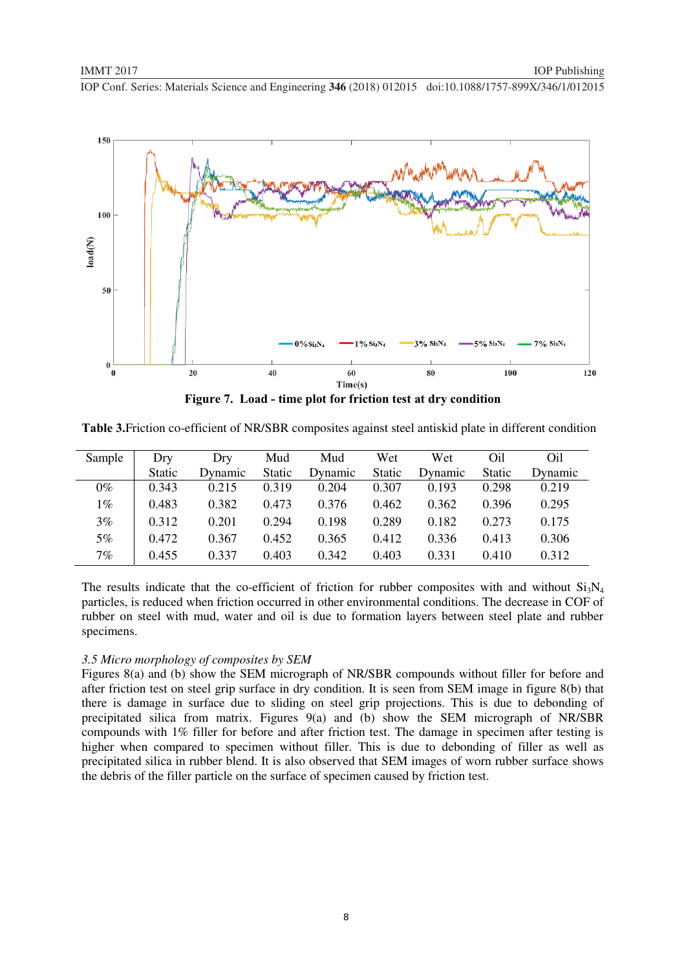

**Figure 7. Load - time plot for friction test at dry condition** 

**Table 3.**Friction co-efficient of NR/SBR composites against steel antiskid plate in different condition

| Sample | Dry           | Dry     | Mud    | Mud     | Wet    | Wet     | Oil    | Oil     |
|--------|---------------|---------|--------|---------|--------|---------|--------|---------|
|        | <b>Static</b> | Dynamic | Static | Dynamic | Static | Dynamic | Static | Dynamic |
| $0\%$  | 0.343         | 0.215   | 0.319  | 0.204   | 0.307  | 0.193   | 0.298  | 0.219   |
| $1\%$  | 0.483         | 0.382   | 0.473  | 0.376   | 0.462  | 0.362   | 0.396  | 0.295   |
| $3\%$  | 0.312         | 0.201   | 0.294  | 0.198   | 0.289  | 0.182   | 0.273  | 0.175   |
| $5\%$  | 0.472         | 0.367   | 0.452  | 0.365   | 0.412  | 0.336   | 0.413  | 0.306   |
| 7%     | 0.455         | 0.337   | 0.403  | 0.342   | 0.403  | 0.331   | 0.410  | 0.312   |

The results indicate that the co-efficient of friction for rubber composites with and without  $Si_3N_4$ particles, is reduced when friction occurred in other environmental conditions. The decrease in COF of rubber on steel with mud, water and oil is due to formation layers between steel plate and rubber specimens.

#### *3.5 Micro morphology of composites by SEM*

Figures 8(a) and (b) show the SEM micrograph of NR/SBR compounds without filler for before and after friction test on steel grip surface in dry condition. It is seen from SEM image in figure 8(b) that there is damage in surface due to sliding on steel grip projections. This is due to debonding of precipitated silica from matrix. Figures 9(a) and (b) show the SEM micrograph of NR/SBR compounds with 1% filler for before and after friction test. The damage in specimen after testing is higher when compared to specimen without filler. This is due to debonding of filler as well as precipitated silica in rubber blend. It is also observed that SEM images of worn rubber surface shows the debris of the filler particle on the surface of specimen caused by friction test.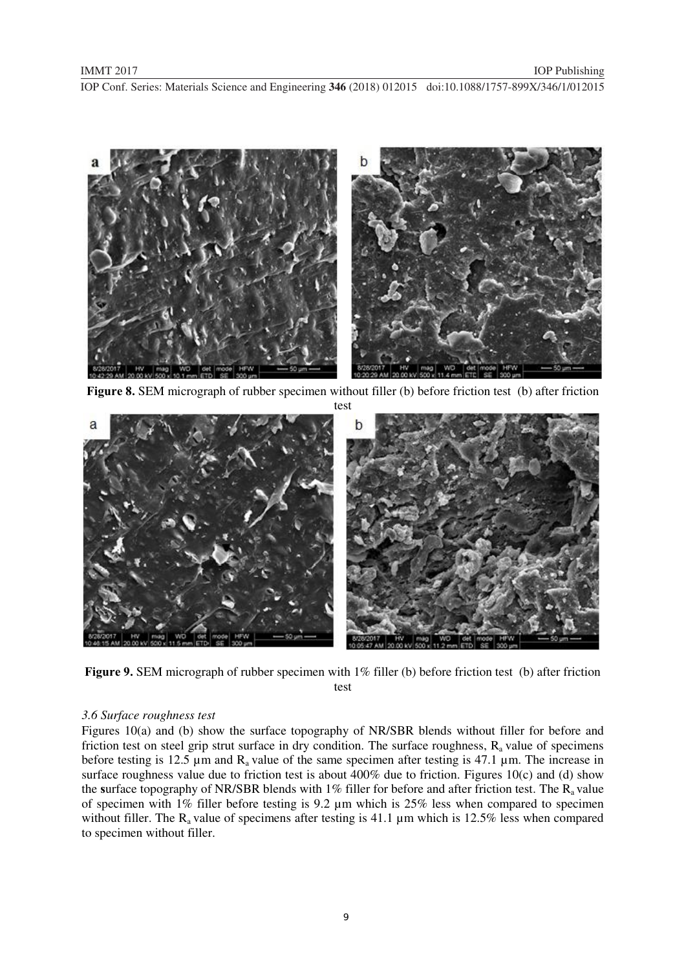

**Figure 8.** SEM micrograph of rubber specimen without filler (b) before friction test (b) after friction



**Figure 9.** SEM micrograph of rubber specimen with 1% filler (b) before friction test (b) after friction test

# *3.6 Surface roughness test*

Figures 10(a) and (b) show the surface topography of NR/SBR blends without filler for before and friction test on steel grip strut surface in dry condition. The surface roughness,  $R_a$  value of specimens before testing is 12.5  $\mu$ m and R<sub>a</sub> value of the same specimen after testing is 47.1  $\mu$ m. The increase in surface roughness value due to friction test is about 400% due to friction. Figures 10(c) and (d) show the surface topography of NR/SBR blends with 1% filler for before and after friction test. The R<sub>a</sub> value of specimen with 1% filler before testing is 9.2 µm which is 25% less when compared to specimen without filler. The  $R_a$  value of specimens after testing is 41.1  $\mu$ m which is 12.5% less when compared to specimen without filler.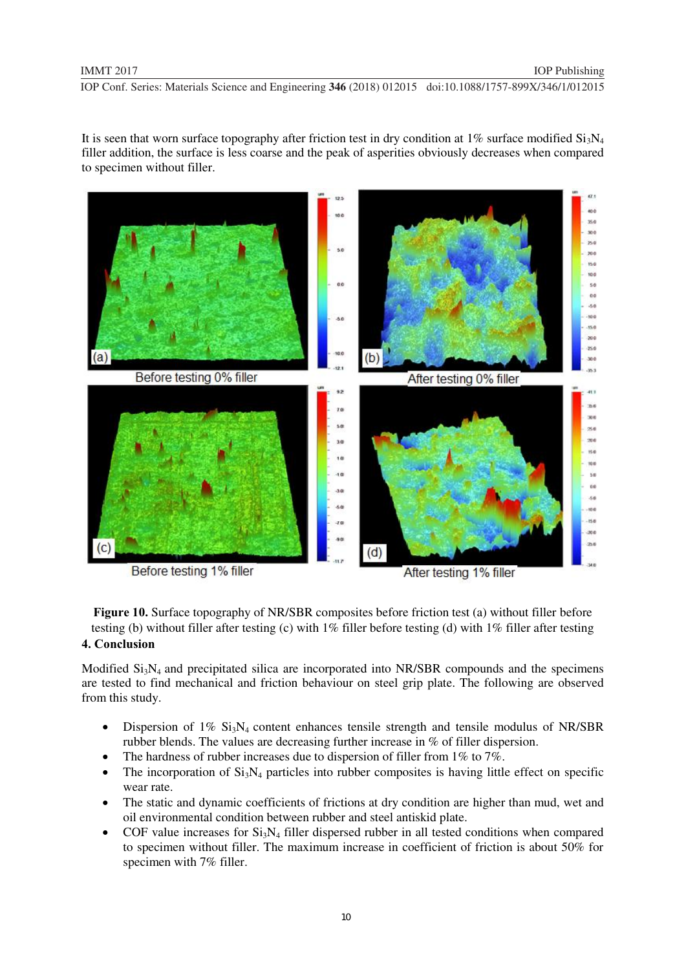It is seen that worn surface topography after friction test in dry condition at 1% surface modified  $Si_3N_4$ filler addition, the surface is less coarse and the peak of asperities obviously decreases when compared to specimen without filler.



**Figure 10.** Surface topography of NR/SBR composites before friction test (a) without filler before testing (b) without filler after testing (c) with 1% filler before testing (d) with 1% filler after testing

# **4. Conclusion**

Modified  $Si<sub>3</sub>N<sub>4</sub>$  and precipitated silica are incorporated into NR/SBR compounds and the specimens are tested to find mechanical and friction behaviour on steel grip plate. The following are observed from this study.

- $\bullet$ Dispersion of  $1\%$  Si<sub>3</sub>N<sub>4</sub> content enhances tensile strength and tensile modulus of NR/SBR rubber blends. The values are decreasing further increase in % of filler dispersion.
- $\bullet$ The hardness of rubber increases due to dispersion of filler from 1% to 7%.
- $\bullet$ The incorporation of  $Si<sub>3</sub>N<sub>4</sub>$  particles into rubber composites is having little effect on specific wear rate.
- The static and dynamic coefficients of frictions at dry condition are higher than mud, wet and oil environmental condition between rubber and steel antiskid plate.
- $\bullet$ COF value increases for  $Si<sub>3</sub>N<sub>4</sub>$  filler dispersed rubber in all tested conditions when compared to specimen without filler. The maximum increase in coefficient of friction is about 50% for specimen with 7% filler.